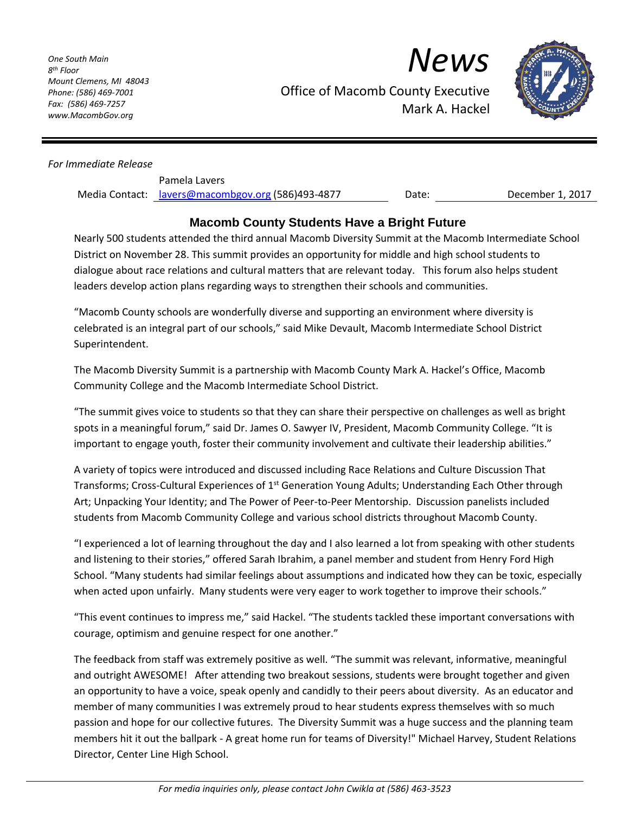*One South Main 8 th Floor Mount Clemens, MI 48043 Phone: (586) 469-7001 Fax: (586) 469-7257 www.MacombGov.org*

*News*



Office of Macomb County Executive Mark A. Hackel

## *For Immediate Release*

| Pamela Lavers                                     |       |
|---------------------------------------------------|-------|
| Media Contact: lavers@macombgov.org (586)493-4877 | Date: |

December 1, 2017

## **Macomb County Students Have a Bright Future**

Nearly 500 students attended the third annual Macomb Diversity Summit at the Macomb Intermediate School District on November 28. This summit provides an opportunity for middle and high school students to dialogue about race relations and cultural matters that are relevant today. This forum also helps student leaders develop action plans regarding ways to strengthen their schools and communities.

"Macomb County schools are wonderfully diverse and supporting an environment where diversity is celebrated is an integral part of our schools," said Mike Devault, Macomb Intermediate School District Superintendent.

The Macomb Diversity Summit is a partnership with Macomb County Mark A. Hackel's Office, Macomb Community College and the Macomb Intermediate School District.

"The summit gives voice to students so that they can share their perspective on challenges as well as bright spots in a meaningful forum," said Dr. James O. Sawyer IV, President, Macomb Community College. "It is important to engage youth, foster their community involvement and cultivate their leadership abilities."

A variety of topics were introduced and discussed including Race Relations and Culture Discussion That Transforms; Cross-Cultural Experiences of 1<sup>st</sup> Generation Young Adults; Understanding Each Other through Art; Unpacking Your Identity; and The Power of Peer-to-Peer Mentorship. Discussion panelists included students from Macomb Community College and various school districts throughout Macomb County.

"I experienced a lot of learning throughout the day and I also learned a lot from speaking with other students and listening to their stories," offered Sarah Ibrahim, a panel member and student from Henry Ford High School. "Many students had similar feelings about assumptions and indicated how they can be toxic, especially when acted upon unfairly. Many students were very eager to work together to improve their schools."

"This event continues to impress me," said Hackel. "The students tackled these important conversations with courage, optimism and genuine respect for one another."

The feedback from staff was extremely positive as well. "The summit was relevant, informative, meaningful and outright AWESOME! After attending two breakout sessions, students were brought together and given an opportunity to have a voice, speak openly and candidly to their peers about diversity. As an educator and member of many communities I was extremely proud to hear students express themselves with so much passion and hope for our collective futures. The Diversity Summit was a huge success and the planning team members hit it out the ballpark - A great home run for teams of Diversity!" Michael Harvey, Student Relations Director, Center Line High School.